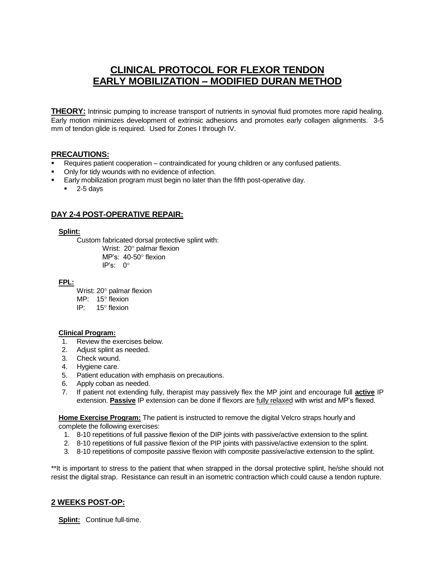# **CLINICAL PROTOCOL FOR FLEXOR TENDON EARLY MOBILIZATION – MODIFIED DURAN METHOD**

**THEORY:** Intrinsic pumping to increase transport of nutrients in synovial fluid promotes more rapid healing. Early motion minimizes development of extrinsic adhesions and promotes early collagen alignments. 3-5 mm of tendon glide is required. Used for Zones I through IV.

## **PRECAUTIONS:**

- Requires patient cooperation contraindicated for young children or any confused patients.
- Only for tidy wounds with no evidence of infection.
- Early mobilization program must begin no later than the fifth post-operative day.
	- $-2$ -5 days

## **DAY 2-4 POST-OPERATIVE REPAIR:**

## **Splint:**

Custom fabricated dorsal protective splint with:

Wrist:  $20^\circ$  palmar flexion MP's: 40-50° flexion IP's: 0

## **FPL:**

- Wrist:  $20^\circ$  palmar flexion
- $MP: 15^{\circ}$  flexion
- IP: 15° flexion

## **Clinical Program:**

- 1. Review the exercises below.
- 2. Adjust splint as needed.
- 3. Check wound.
- 4. Hygiene care.
- 5. Patient education with emphasis on precautions.
- 6. Apply coban as needed.
- 7. If patient not extending fully, therapist may passively flex the MP joint and encourage full **active** IP extension. **Passive** IP extension can be done if flexors are fully relaxed with wrist and MP's flexed.

 **Home Exercise Program:** The patient is instructed to remove the digital Velcro straps hourly and complete the following exercises:

- 1. 8-10 repetitions of full passive flexion of the DIP joints with passive/active extension to the splint.
- 2. 8-10 repetitions of full passive flexion of the PIP joints with passive/active extension to the splint.
- 3. 8-10 repetitions of composite passive flexion with composite passive/active extension to the splint.

\*\*It is important to stress to the patient that when strapped in the dorsal protective splint, he/she should not resist the digital strap. Resistance can result in an isometric contraction which could cause a tendon rupture.

## **2 WEEKS POST-OP:**

**Splint:** Continue full-time.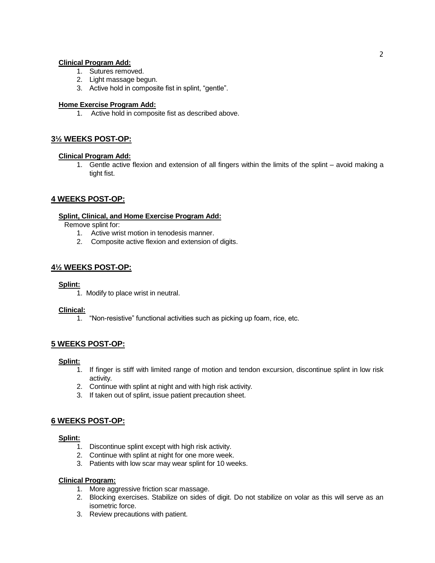#### **Clinical Program Add:**

- 1. Sutures removed.
- 2. Light massage begun.
- 3. Active hold in composite fist in splint, "gentle".

#### **Home Exercise Program Add:**

1. Active hold in composite fist as described above.

## **3½ WEEKS POST-OP:**

#### **Clinical Program Add:**

1. Gentle active flexion and extension of all fingers within the limits of the splint – avoid making a tight fist.

## **4 WEEKS POST-OP:**

#### **Splint, Clinical, and Home Exercise Program Add:**

Remove splint for:

- 1. Active wrist motion in tenodesis manner.
- 2. Composite active flexion and extension of digits.

## **4½ WEEKS POST-OP:**

#### **Splint:**

1. Modify to place wrist in neutral.

#### **Clinical:**

1. "Non-resistive" functional activities such as picking up foam, rice, etc.

## **5 WEEKS POST-OP:**

#### **Splint:**

- 1. If finger is stiff with limited range of motion and tendon excursion, discontinue splint in low risk activity.
- 2. Continue with splint at night and with high risk activity.
- 3. If taken out of splint, issue patient precaution sheet.

## **6 WEEKS POST-OP:**

#### **Splint:**

- 1. Discontinue splint except with high risk activity.
- 2. Continue with splint at night for one more week.
- 3. Patients with low scar may wear splint for 10 weeks.

#### **Clinical Program:**

- 1. More aggressive friction scar massage.
- 2. Blocking exercises. Stabilize on sides of digit. Do not stabilize on volar as this will serve as an isometric force.
- 3. Review precautions with patient.